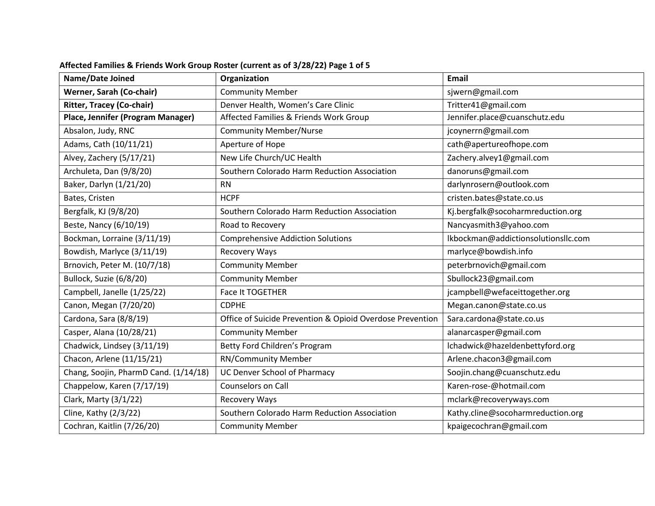| Name/Date Joined                      | Organization                                              | <b>Email</b>                        |
|---------------------------------------|-----------------------------------------------------------|-------------------------------------|
| Werner, Sarah (Co-chair)              | <b>Community Member</b>                                   | sjwern@gmail.com                    |
| <b>Ritter, Tracey (Co-chair)</b>      | Denver Health, Women's Care Clinic                        | Tritter41@gmail.com                 |
| Place, Jennifer (Program Manager)     | Affected Families & Friends Work Group                    | Jennifer.place@cuanschutz.edu       |
| Absalon, Judy, RNC                    | <b>Community Member/Nurse</b>                             | jcoynerrn@gmail.com                 |
| Adams, Cath (10/11/21)                | Aperture of Hope                                          | cath@apertureofhope.com             |
| Alvey, Zachery (5/17/21)              | New Life Church/UC Health                                 | Zachery.alvey1@gmail.com            |
| Archuleta, Dan (9/8/20)               | Southern Colorado Harm Reduction Association              | danoruns@gmail.com                  |
| Baker, Darlyn (1/21/20)               | <b>RN</b>                                                 | darlynrosern@outlook.com            |
| Bates, Cristen                        | <b>HCPF</b>                                               | cristen.bates@state.co.us           |
| Bergfalk, KJ (9/8/20)                 | Southern Colorado Harm Reduction Association              | Kj.bergfalk@socoharmreduction.org   |
| Beste, Nancy (6/10/19)                | Road to Recovery                                          | Nancyasmith3@yahoo.com              |
| Bockman, Lorraine (3/11/19)           | <b>Comprehensive Addiction Solutions</b>                  | lkbockman@addictionsolutionsllc.com |
| Bowdish, Marlyce (3/11/19)            | Recovery Ways                                             | marlyce@bowdish.info                |
| Brnovich, Peter M. (10/7/18)          | <b>Community Member</b>                                   | peterbrnovich@gmail.com             |
| Bullock, Suzie (6/8/20)               | <b>Community Member</b>                                   | Sbullock23@gmail.com                |
| Campbell, Janelle (1/25/22)           | Face It TOGETHER                                          | jcampbell@wefaceittogether.org      |
| Canon, Megan (7/20/20)                | <b>CDPHE</b>                                              | Megan.canon@state.co.us             |
| Cardona, Sara (8/8/19)                | Office of Suicide Prevention & Opioid Overdose Prevention | Sara.cardona@state.co.us            |
| Casper, Alana (10/28/21)              | <b>Community Member</b>                                   | alanarcasper@gmail.com              |
| Chadwick, Lindsey (3/11/19)           | Betty Ford Children's Program                             | lchadwick@hazeldenbettyford.org     |
| Chacon, Arlene (11/15/21)             | <b>RN/Community Member</b>                                | Arlene.chacon3@gmail.com            |
| Chang, Soojin, PharmD Cand. (1/14/18) | <b>UC Denver School of Pharmacy</b>                       | Soojin.chang@cuanschutz.edu         |
| Chappelow, Karen (7/17/19)            | Counselors on Call                                        | Karen-rose-@hotmail.com             |
| Clark, Marty (3/1/22)                 | Recovery Ways                                             | mclark@recoveryways.com             |
| Cline, Kathy (2/3/22)                 | Southern Colorado Harm Reduction Association              | Kathy.cline@socoharmreduction.org   |
| Cochran, Kaitlin (7/26/20)            | <b>Community Member</b>                                   | kpaigecochran@gmail.com             |

## **Affected Families & Friends Work Group Roster (current as of 3/28/22) Page 1 of 5**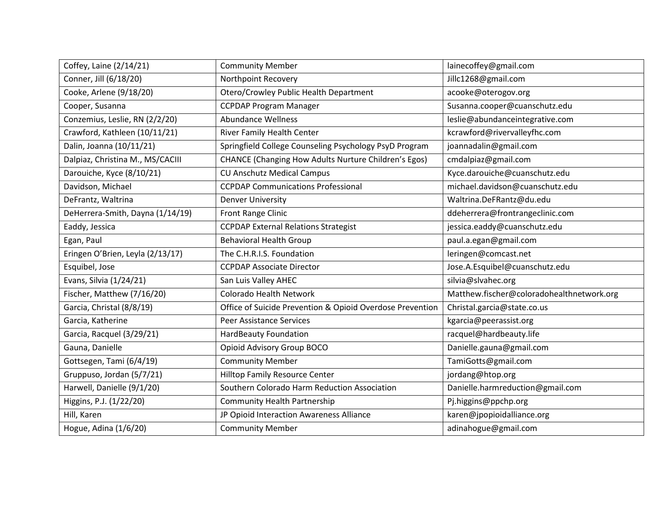| Coffey, Laine (2/14/21)          | <b>Community Member</b>                                   | lainecoffey@gmail.com                     |
|----------------------------------|-----------------------------------------------------------|-------------------------------------------|
| Conner, Jill (6/18/20)           | Northpoint Recovery                                       | Jillc1268@gmail.com                       |
| Cooke, Arlene (9/18/20)          | Otero/Crowley Public Health Department                    | acooke@oterogov.org                       |
| Cooper, Susanna                  | <b>CCPDAP Program Manager</b>                             | Susanna.cooper@cuanschutz.edu             |
| Conzemius, Leslie, RN (2/2/20)   | <b>Abundance Wellness</b>                                 | leslie@abundanceintegrative.com           |
| Crawford, Kathleen (10/11/21)    | <b>River Family Health Center</b>                         | kcrawford@rivervalleyfhc.com              |
| Dalin, Joanna (10/11/21)         | Springfield College Counseling Psychology PsyD Program    | joannadalin@gmail.com                     |
| Dalpiaz, Christina M., MS/CACIII | CHANCE (Changing How Adults Nurture Children's Egos)      | cmdalpiaz@gmail.com                       |
| Darouiche, Kyce (8/10/21)        | <b>CU Anschutz Medical Campus</b>                         | Kyce.darouiche@cuanschutz.edu             |
| Davidson, Michael                | <b>CCPDAP Communications Professional</b>                 | michael.davidson@cuanschutz.edu           |
| DeFrantz, Waltrina               | <b>Denver University</b>                                  | Waltrina.DeFRantz@du.edu                  |
| DeHerrera-Smith, Dayna (1/14/19) | Front Range Clinic                                        | ddeherrera@frontrangeclinic.com           |
| Eaddy, Jessica                   | <b>CCPDAP External Relations Strategist</b>               | jessica.eaddy@cuanschutz.edu              |
| Egan, Paul                       | <b>Behavioral Health Group</b>                            | paul.a.egan@gmail.com                     |
| Eringen O'Brien, Leyla (2/13/17) | The C.H.R.I.S. Foundation                                 | leringen@comcast.net                      |
| Esquibel, Jose                   | <b>CCPDAP Associate Director</b>                          | Jose.A.Esquibel@cuanschutz.edu            |
| Evans, Silvia (1/24/21)          | San Luis Valley AHEC                                      | silvia@slvahec.org                        |
| Fischer, Matthew (7/16/20)       | Colorado Health Network                                   | Matthew.fischer@coloradohealthnetwork.org |
| Garcia, Christal (8/8/19)        | Office of Suicide Prevention & Opioid Overdose Prevention | Christal.garcia@state.co.us               |
| Garcia, Katherine                | <b>Peer Assistance Services</b>                           | kgarcia@peerassist.org                    |
| Garcia, Racquel (3/29/21)        | <b>HardBeauty Foundation</b>                              | racquel@hardbeauty.life                   |
| Gauna, Danielle                  | Opioid Advisory Group BOCO                                | Danielle.gauna@gmail.com                  |
| Gottsegen, Tami (6/4/19)         | <b>Community Member</b>                                   | TamiGotts@gmail.com                       |
| Gruppuso, Jordan (5/7/21)        | <b>Hilltop Family Resource Center</b>                     | jordang@htop.org                          |
| Harwell, Danielle (9/1/20)       | Southern Colorado Harm Reduction Association              | Danielle.harmreduction@gmail.com          |
| Higgins, P.J. (1/22/20)          | <b>Community Health Partnership</b>                       | Pj.higgins@ppchp.org                      |
| Hill, Karen                      | JP Opioid Interaction Awareness Alliance                  | karen@jpopioidalliance.org                |
| Hogue, Adina (1/6/20)            | <b>Community Member</b>                                   | adinahogue@gmail.com                      |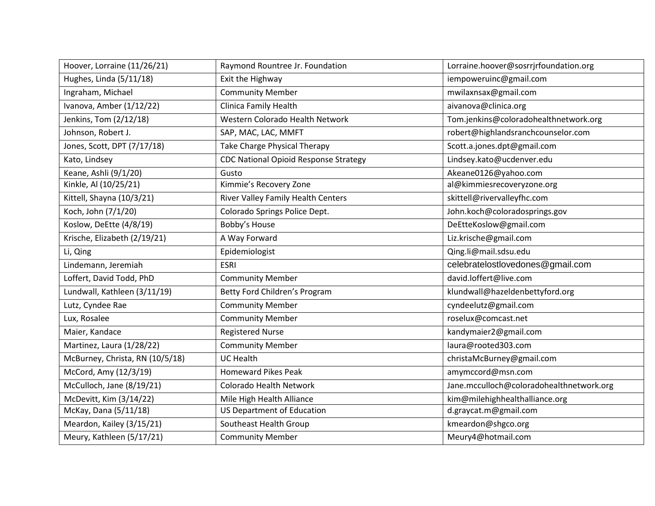| Hoover, Lorraine (11/26/21)     | Raymond Rountree Jr. Foundation              | Lorraine.hoover@sosrrjrfoundation.org    |
|---------------------------------|----------------------------------------------|------------------------------------------|
| Hughes, Linda (5/11/18)         | Exit the Highway                             | iempoweruinc@gmail.com                   |
| Ingraham, Michael               | <b>Community Member</b>                      | mwilaxnsax@gmail.com                     |
| Ivanova, Amber (1/12/22)        | Clinica Family Health                        | aivanova@clinica.org                     |
| Jenkins, Tom (2/12/18)          | Western Colorado Health Network              | Tom.jenkins@coloradohealthnetwork.org    |
| Johnson, Robert J.              | SAP, MAC, LAC, MMFT                          | robert@highlandsranchcounselor.com       |
| Jones, Scott, DPT (7/17/18)     | Take Charge Physical Therapy                 | Scott.a.jones.dpt@gmail.com              |
| Kato, Lindsey                   | <b>CDC National Opioid Response Strategy</b> | Lindsey.kato@ucdenver.edu                |
| Keane, Ashli (9/1/20)           | Gusto                                        | Akeane0126@yahoo.com                     |
| Kinkle, Al (10/25/21)           | Kimmie's Recovery Zone                       | al@kimmiesrecoveryzone.org               |
| Kittell, Shayna (10/3/21)       | River Valley Family Health Centers           | skittell@rivervalleyfhc.com              |
| Koch, John (7/1/20)             | Colorado Springs Police Dept.                | John.koch@coloradosprings.gov            |
| Koslow, DeEtte (4/8/19)         | Bobby's House                                | DeEtteKoslow@gmail.com                   |
| Krische, Elizabeth (2/19/21)    | A Way Forward                                | Liz.krische@gmail.com                    |
| Li, Qing                        | Epidemiologist                               | Qing.li@mail.sdsu.edu                    |
| Lindemann, Jeremiah             | <b>ESRI</b>                                  | celebratelostlovedones@gmail.com         |
| Loffert, David Todd, PhD        | <b>Community Member</b>                      | david.loffert@live.com                   |
| Lundwall, Kathleen (3/11/19)    | Betty Ford Children's Program                | klundwall@hazeldenbettyford.org          |
| Lutz, Cyndee Rae                | <b>Community Member</b>                      | cyndeelutz@gmail.com                     |
| Lux, Rosalee                    | <b>Community Member</b>                      | roselux@comcast.net                      |
| Maier, Kandace                  | <b>Registered Nurse</b>                      | kandymaier2@gmail.com                    |
| Martinez, Laura (1/28/22)       | <b>Community Member</b>                      | laura@rooted303.com                      |
| McBurney, Christa, RN (10/5/18) | <b>UC Health</b>                             | christaMcBurney@gmail.com                |
| McCord, Amy (12/3/19)           | <b>Homeward Pikes Peak</b>                   | amymccord@msn.com                        |
| McCulloch, Jane (8/19/21)       | Colorado Health Network                      | Jane.mcculloch@coloradohealthnetwork.org |
| McDevitt, Kim (3/14/22)         | Mile High Health Alliance                    | kim@milehighhealthalliance.org           |
| McKay, Dana (5/11/18)           | <b>US Department of Education</b>            | d.graycat.m@gmail.com                    |
| Meardon, Kailey (3/15/21)       | Southeast Health Group                       | kmeardon@shgco.org                       |
| Meury, Kathleen (5/17/21)       | <b>Community Member</b>                      | Meury4@hotmail.com                       |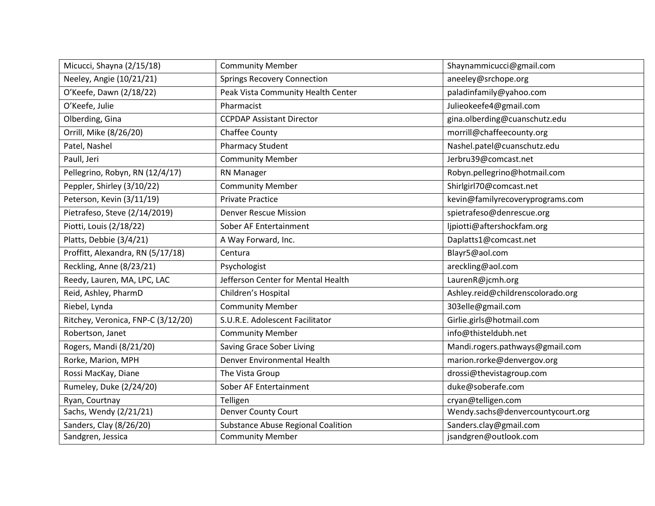| Micucci, Shayna (2/15/18)          | <b>Community Member</b>                   | Shaynammicucci@gmail.com          |
|------------------------------------|-------------------------------------------|-----------------------------------|
| Neeley, Angie (10/21/21)           | <b>Springs Recovery Connection</b>        | aneeley@srchope.org               |
| O'Keefe, Dawn (2/18/22)            | Peak Vista Community Health Center        | paladinfamily@yahoo.com           |
| O'Keefe, Julie                     | Pharmacist                                | Julieokeefe4@gmail.com            |
| Olberding, Gina                    | <b>CCPDAP Assistant Director</b>          | gina.olberding@cuanschutz.edu     |
| Orrill, Mike (8/26/20)             | Chaffee County                            | morrill@chaffeecounty.org         |
| Patel, Nashel                      | <b>Pharmacy Student</b>                   | Nashel.patel@cuanschutz.edu       |
| Paull, Jeri                        | <b>Community Member</b>                   | Jerbru39@comcast.net              |
| Pellegrino, Robyn, RN (12/4/17)    | <b>RN Manager</b>                         | Robyn.pellegrino@hotmail.com      |
| Peppler, Shirley (3/10/22)         | <b>Community Member</b>                   | Shirlgirl70@comcast.net           |
| Peterson, Kevin (3/11/19)          | <b>Private Practice</b>                   | kevin@familyrecoveryprograms.com  |
| Pietrafeso, Steve (2/14/2019)      | <b>Denver Rescue Mission</b>              | spietrafeso@denrescue.org         |
| Piotti, Louis (2/18/22)            | Sober AF Entertainment                    | ljpiotti@aftershockfam.org        |
| Platts, Debbie (3/4/21)            | A Way Forward, Inc.                       | Daplatts1@comcast.net             |
| Proffitt, Alexandra, RN (5/17/18)  | Centura                                   | Blayr5@aol.com                    |
| Reckling, Anne (8/23/21)           | Psychologist                              | areckling@aol.com                 |
| Reedy, Lauren, MA, LPC, LAC        | Jefferson Center for Mental Health        | LaurenR@jcmh.org                  |
| Reid, Ashley, PharmD               | Children's Hospital                       | Ashley.reid@childrenscolorado.org |
| Riebel, Lynda                      | <b>Community Member</b>                   | 303elle@gmail.com                 |
| Ritchey, Veronica, FNP-C (3/12/20) | S.U.R.E. Adolescent Facilitator           | Girlie.girls@hotmail.com          |
| Robertson, Janet                   | <b>Community Member</b>                   | info@thisteldubh.net              |
| Rogers, Mandi (8/21/20)            | Saving Grace Sober Living                 | Mandi.rogers.pathways@gmail.com   |
| Rorke, Marion, MPH                 | Denver Environmental Health               | marion.rorke@denvergov.org        |
| Rossi MacKay, Diane                | The Vista Group                           | drossi@thevistagroup.com          |
| Rumeley, Duke (2/24/20)            | Sober AF Entertainment                    | duke@soberafe.com                 |
| Ryan, Courtnay                     | Telligen                                  | cryan@telligen.com                |
| Sachs, Wendy (2/21/21)             | <b>Denver County Court</b>                | Wendy.sachs@denvercountycourt.org |
| Sanders, Clay (8/26/20)            | <b>Substance Abuse Regional Coalition</b> | Sanders.clay@gmail.com            |
| Sandgren, Jessica                  | <b>Community Member</b>                   | jsandgren@outlook.com             |